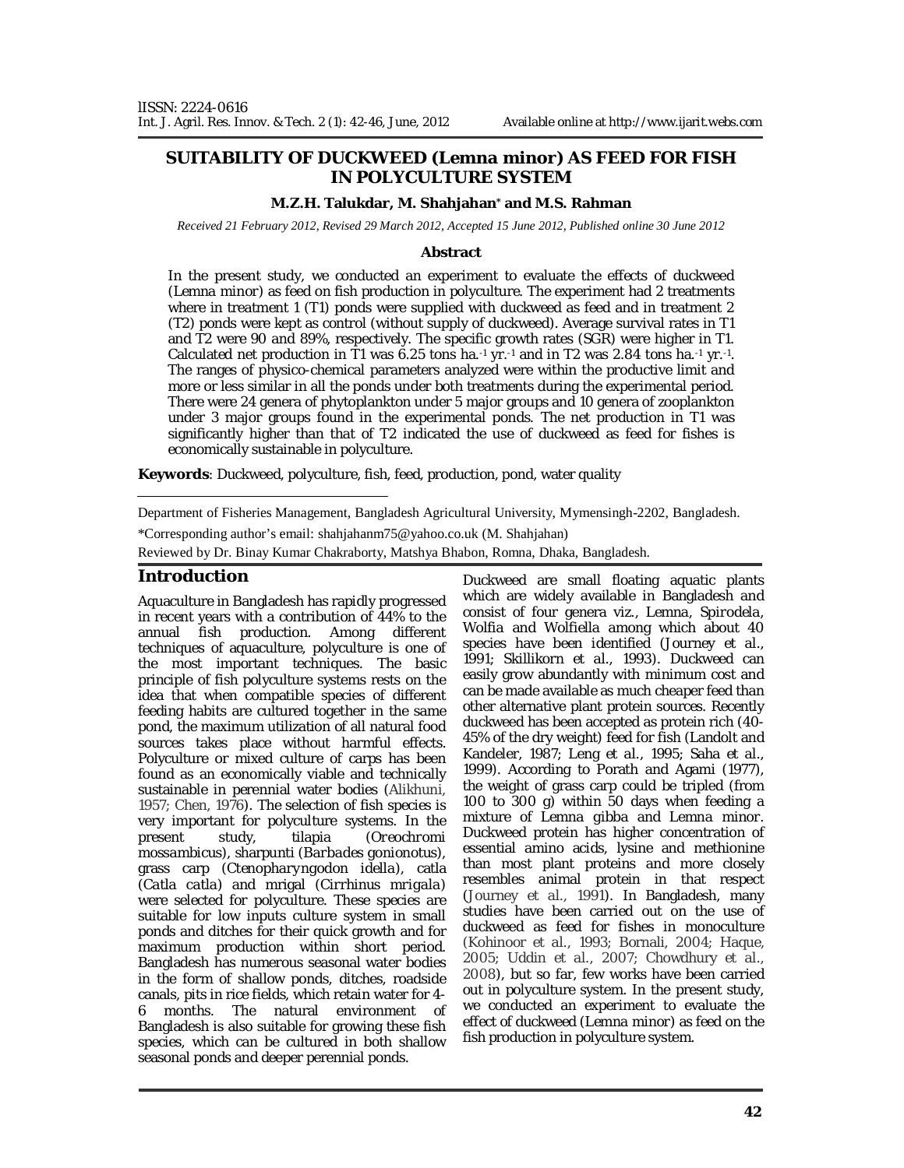## **SUITABILITY OF DUCKWEED (***Lemna minor***) AS FEED FOR FISH IN POLYCULTURE SYSTEM**

#### **M.Z.H. Talukdar, M. Shahjahan\* and M.S. Rahman**

*Received 21 February 2012, Revised 29 March 2012, Accepted 15 June 2012, Published online 30 June 2012* 

#### **Abstract**

In the present study, we conducted an experiment to evaluate the effects of duckweed (*Lemna minor*) as feed on fish production in polyculture. The experiment had 2 treatments where in treatment 1 (T1) ponds were supplied with duckweed as feed and in treatment 2 (T2) ponds were kept as control (without supply of duckweed). Average survival rates in T1 and T2 were 90 and 89%, respectively. The specific growth rates (SGR) were higher in T1. Calculated net production in T1 was 6.25 tons ha. $1$  yr. $1$  and in T2 was 2.84 tons ha. $1$  yr. $1$ . The ranges of physico-chemical parameters analyzed were within the productive limit and more or less similar in all the ponds under both treatments during the experimental period. There were 24 genera of phytoplankton under 5 major groups and 10 genera of zooplankton under 3 major groups found in the experimental ponds. The net production in T1 was significantly higher than that of T2 indicated the use of duckweed as feed for fishes is economically sustainable in polyculture.

**Keywords**: Duckweed, polyculture, fish, feed, production, pond, water quality

Department of Fisheries Management, Bangladesh Agricultural University, Mymensingh-2202, Bangladesh.

\*Corresponding author's email: shahjahanm75@yahoo.co.uk (M. Shahjahan)

Reviewed by Dr. Binay Kumar Chakraborty, Matshya Bhabon, Romna, Dhaka, Bangladesh.

#### **Introduction**

Aquaculture in Bangladesh has rapidly progressed in recent years with a contribution of 44% to the annual fish production. Among different techniques of aquaculture, polyculture is one of the most important techniques. The basic principle of fish polyculture systems rests on the idea that when compatible species of different feeding habits are cultured together in the same pond, the maximum utilization of all natural food sources takes place without harmful effects. Polyculture or mixed culture of carps has been found as an economically viable and technically sustainable in perennial water bodies (Alikhuni, 1957; Chen, 1976). The selection of fish species is very important for polyculture systems. In the present study, tilapia (*Oreochromi mossambicus*), sharpunti (*Barbades gonionotus*), grass carp (*Ctenopharyngodon idella*), catla (*Catla catla*) and mrigal (*Cirrhinus mrigala*) were selected for polyculture. These species are suitable for low inputs culture system in small ponds and ditches for their quick growth and for maximum production within short period. Bangladesh has numerous seasonal water bodies in the form of shallow ponds, ditches, roadside canals, pits in rice fields, which retain water for 4- 6 months. The natural environment of Bangladesh is also suitable for growing these fish species, which can be cultured in both shallow seasonal ponds and deeper perennial ponds.

Duckweed are small floating aquatic plants which are widely available in Bangladesh and consist of four genera viz., *Lemna*, *Spirodela, Wolfia* and *Wolfiella* among which about 40 species have been identified (Journey *et al.,* 1991; Skillikorn *et al.,* 1993). Duckweed can easily grow abundantly with minimum cost and can be made available as much cheaper feed than other alternative plant protein sources. Recently duckweed has been accepted as protein rich (40- 45% of the dry weight) feed for fish (Landolt and Kandeler, 1987; Leng *et al.,* 1995; Saha *et al.,* 1999). According to Porath and Agami (1977), the weight of grass carp could be tripled (from 100 to 300 g) within 50 days when feeding a mixture of *Lemna gibba* and *Lemna minor*. Duckweed protein has higher concentration of essential amino acids, lysine and methionine than most plant proteins and more closely resembles animal protein in that respect (Journey *et al.,* 1991). In Bangladesh, many studies have been carried out on the use of duckweed as feed for fishes in monoculture (Kohinoor *et al.,* 1993; Bornali, 2004; Haque, 2005; Uddin *et al.,* 2007; Chowdhury *et al.,* 2008), but so far, few works have been carried out in polyculture system. In the present study, we conducted an experiment to evaluate the effect of duckweed (*Lemna minor*) as feed on the fish production in polyculture system.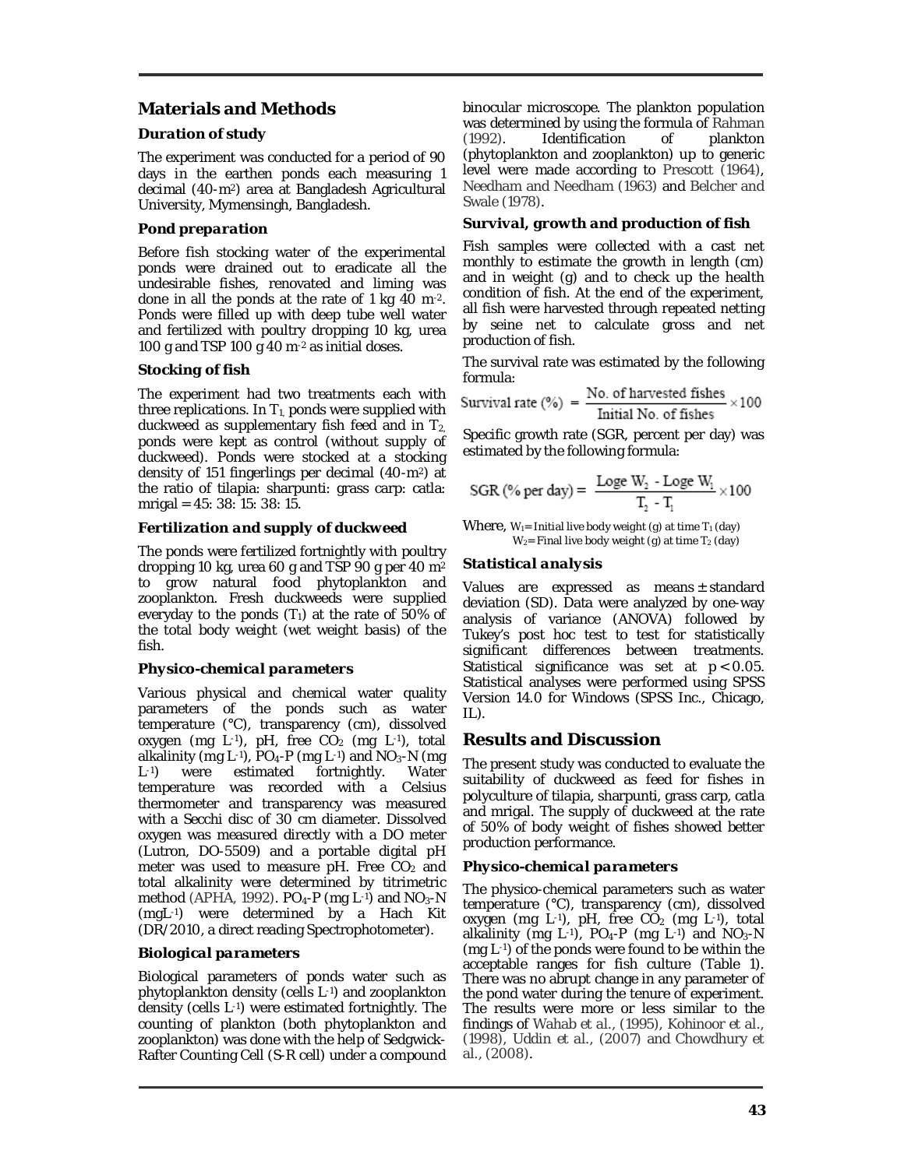# **Materials and Methods**

## *Duration of study*

The experiment was conducted for a period of 90 days in the earthen ponds each measuring 1 decimal (40-m2) area at Bangladesh Agricultural University, Mymensingh, Bangladesh.

#### *Pond preparation*

Before fish stocking water of the experimental ponds were drained out to eradicate all the undesirable fishes, renovated and liming was done in all the ponds at the rate of 1 kg 40 m-2. Ponds were filled up with deep tube well water and fertilized with poultry dropping 10 kg, urea 100 g and TSP 100 g 40 m-2 as initial doses.

## *Stocking of fish*

The experiment had two treatments each with three replications. In  $T_{1}$  ponds were supplied with duckweed as supplementary fish feed and in  $T_{2}$ , ponds were kept as control (without supply of duckweed). Ponds were stocked at a stocking density of 151 fingerlings per decimal (40-m2) at the ratio of tilapia: sharpunti: grass carp: catla: mrigal = 45: 38: 15: 38: 15.

# *Fertilization and supply of duckweed*

The ponds were fertilized fortnightly with poultry dropping 10 kg, urea 60 g and TSP 90 g per 40 m<sup>2</sup> to grow natural food phytoplankton and zooplankton. Fresh duckweeds were supplied everyday to the ponds  $(T_1)$  at the rate of 50% of the total body weight (wet weight basis) of the fish.

## *Physico-chemical parameters*

Various physical and chemical water quality parameters of the ponds such as water temperature (°C), transparency (cm), dissolved oxygen (mg L-1), pH, free  $CO<sub>2</sub>$  (mg L-1), total alkalinity (mg L<sup>-1</sup>), PO<sub>4</sub>-P (mg L<sup>-1</sup>) and NO<sub>3</sub>-N (mg L<sup>-1</sup>) were estimated fortnightly. Water fortnightly. temperature was recorded with a Celsius thermometer and transparency was measured with a Secchi disc of 30 cm diameter. Dissolved oxygen was measured directly with a DO meter (Lutron, DO-5509) and a portable digital pH meter was used to measure pH. Free  $CO<sub>2</sub>$  and total alkalinity were determined by titrimetric method (APHA, 1992). PO<sub>4</sub>-P (mg L-1) and NO<sub>3</sub>-N (mgL-1) were determined by a Hach Kit (DR/2010, a direct reading Spectrophotometer).

## *Biological parameters*

Biological parameters of ponds water such as phytoplankton density (cells L-1) and zooplankton density (cells L-1) were estimated fortnightly. The counting of plankton (both phytoplankton and zooplankton) was done with the help of Sedgwick-Rafter Counting Cell (S-R cell) under a compound

binocular microscope. The plankton population was determined by using the formula of Rahman<br>(1992). Identification of plankton (1992). Identification of plankton (phytoplankton and zooplankton) up to generic level were made according to Prescott (1964), Needham and Needham (1963) and Belcher and Swale (1978).

## *Survival, growth and production of fish*

Fish samples were collected with a cast net monthly to estimate the growth in length (cm) and in weight (g) and to check up the health condition of fish. At the end of the experiment, all fish were harvested through repeated netting by seine net to calculate gross and net production of fish.

The survival rate was estimated by the following formula:

$$
Survival rate (\%) = \frac{No. of harvested fishes}{Initial No. of fishes} \times 100
$$

Specific growth rate (SGR, percent per day) was estimated by the following formula:

SGR (%) per day) = 
$$
\frac{\text{Loge } W_2 - \text{Loge } W_1}{T_2 - T_1} \times 100
$$

Where,  $W_1$ = Initial live body weight (g) at time  $T_1$  (day)  $W_2$ = Final live body weight (g) at time T<sub>2</sub> (day)

# *Statistical analysis*

Values are expressed as means ± standard deviation (SD). Data were analyzed by one-way analysis of variance (ANOVA) followed by Tukey's post hoc test to test for statistically significant differences between treatments. Statistical significance was set at *p* < 0.05. Statistical analyses were performed using SPSS Version 14.0 for Windows (SPSS Inc., Chicago, IL).

# **Results and Discussion**

The present study was conducted to evaluate the suitability of duckweed as feed for fishes in polyculture of tilapia, sharpunti, grass carp, catla and mrigal. The supply of duckweed at the rate of 50% of body weight of fishes showed better production performance.

## *Physico-chemical parameters*

The physico-chemical parameters such as water temperature (°C), transparency (cm), dissolved oxygen (mg L-1), pH, free CO<sub>2</sub> (mg L-1), total alkalinity (mg L-1),  $PO<sub>4</sub>-P$  (mg L-1) and  $NO<sub>3</sub>-N$ (mg L-1) of the ponds were found to be within the acceptable ranges for fish culture (Table 1). There was no abrupt change in any parameter of the pond water during the tenure of experiment. The results were more or less similar to the findings of Wahab *et al.,* (1995), Kohinoor *et al.,* (1998), Uddin *et al.,* (2007) and Chowdhury *et al.,* (2008).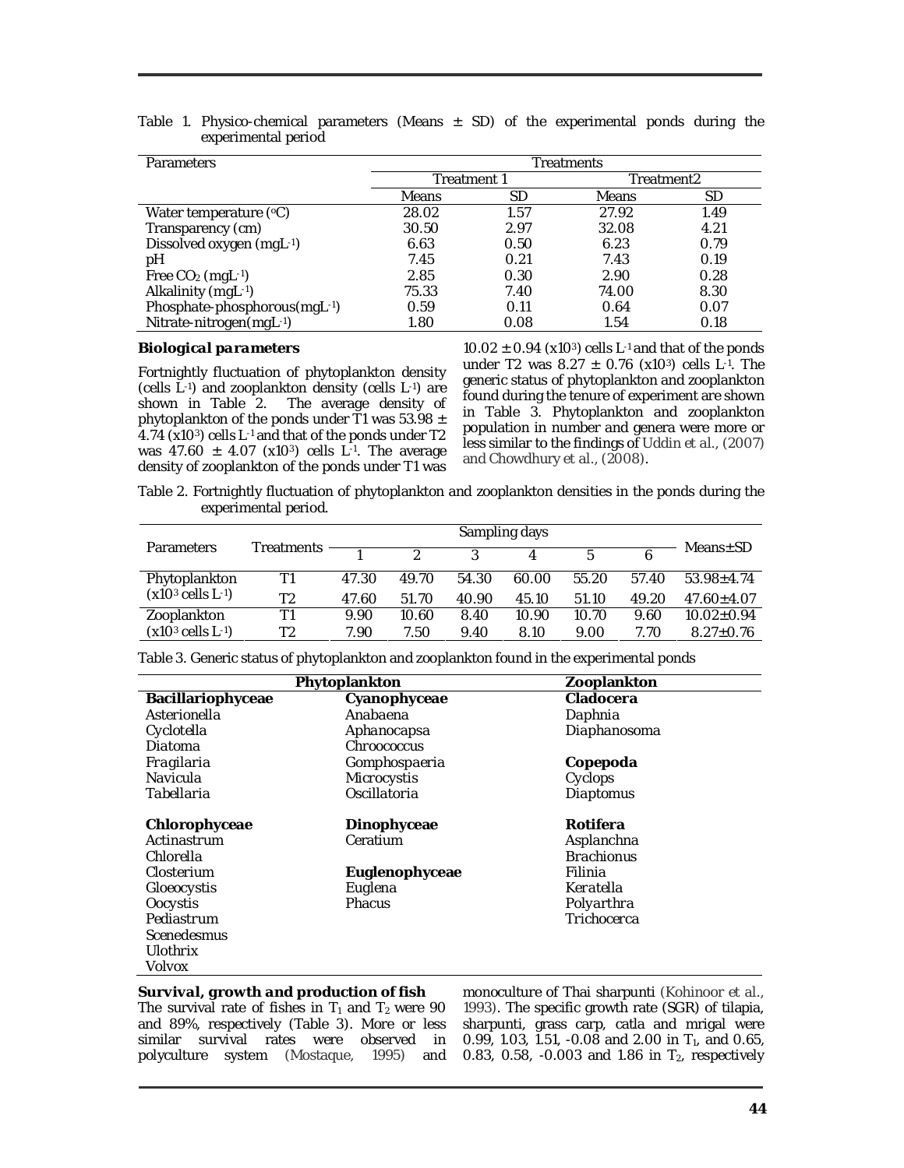| <b>Parameters</b>            | <b>Freatments</b> |      |              |      |  |  |
|------------------------------|-------------------|------|--------------|------|--|--|
|                              | Treatment 1       |      | Treatment2   |      |  |  |
|                              | Means             | SD   | <b>Means</b> | SD   |  |  |
| Water temperature $(°C)$     | 28.02             | 1.57 | 27.92        | 1.49 |  |  |
| Transparency (cm)            | 30.50             | 2.97 | 32.08        | 4.21 |  |  |
| Dissolved oxygen (mgL-1)     | 6.63              | 0.50 | 6.23         | 0.79 |  |  |
| pН                           | 7.45              | 0.21 | 7.43         | 0.19 |  |  |
| Free $CO2$ (mgL $-1$ )       | 2.85              | 0.30 | 2.90         | 0.28 |  |  |
| Alkalinity (mgL-1)           | 75.33             | 7.40 | 74.00        | 8.30 |  |  |
| Phosphate-phosphorous(mgL-1) | 0.59              | 0.11 | 0.64         | 0.07 |  |  |
| Nitrate-nitrogen(mgL-1)      | 1.80              | 0.08 | 1.54         | 0.18 |  |  |

Table 1. Physico-chemical parameters (Means  $\pm$  SD) of the experimental ponds during the experimental period

#### *Biological parameters*

Fortnightly fluctuation of phytoplankton density (cells L-1) and zooplankton density (cells L-1) are shown in Table 2. The average density of phytoplankton of the ponds under T1 was 53.98  $\pm$ 4.74 (x103) cells L-1 and that of the ponds under T2 was 47.60  $\pm$  4.07 (x10<sup>3</sup>) cells L<sup>-1</sup>. The average density of zooplankton of the ponds under T1 was

 $10.02 \pm 0.94$  (x10<sup>3</sup>) cells L<sup>-1</sup> and that of the ponds under T2 was  $8.27 \pm 0.76$  (x10<sup>3</sup>) cells L<sup>-1</sup>. The generic status of phytoplankton and zooplankton found during the tenure of experiment are shown in Table 3. Phytoplankton and zooplankton population in number and genera were more or less similar to the findings of Uddin *et al.,* (2007) and Chowdhury *et al.,* (2008).

Table 2. Fortnightly fluctuation of phytoplankton and zooplankton densities in the ponds during the experimental period.

| <b>Parameters</b>     | Treatments |       | $\mathcal{D}$ |       |       | 片     |       | $Means \pm SD$   |
|-----------------------|------------|-------|---------------|-------|-------|-------|-------|------------------|
| Phytoplankton         | Τ1         | 47.30 | 49.70         | 54.30 | 60.00 | 55.20 | 57.40 | $53.98 + 4.74$   |
| $(x103$ cells $L-1$ ) | Τ2         | 47.60 | 51.70         | 40.90 | 45.10 | 51.10 | 49.20 | $47.60 \pm 4.07$ |
| Zooplankton           | Τ1         | 9.90  | 10.60         | 8.40  | 10.90 | 10.70 | 9.60  | $10.02 \pm 0.94$ |
| $(x103$ cells $L-1$ ) | T2         | 7.90  | 7.50          | 9.40  | 8.10  | 9.00  | 7.70. | $8.27 + 0.76$    |

Table 3. Generic status of phytoplankton and zooplankton found in the experimental ponds

|                    | Phytoplankton  | Zooplankton       |  |  |  |  |
|--------------------|----------------|-------------------|--|--|--|--|
| Bacillariophyceae  | Cyanophyceae   | Cladocera         |  |  |  |  |
| Asterionella       | Anabaena       | Daphnia           |  |  |  |  |
| Cyclotella         | Aphanocapsa    | Diaphanosoma      |  |  |  |  |
| Diatoma            | Chroococcus    |                   |  |  |  |  |
| Fragilaria         | Gomphospaeria  | Copepoda          |  |  |  |  |
| Navicula           | Microcystis    | Cyclops           |  |  |  |  |
| Tabellaria         | Oscillatoria   | Diaptomus         |  |  |  |  |
| Chlorophyceae      | Dinophyceae    | Rotifera          |  |  |  |  |
| Actinastrum        | Ceratium       | Asplanchna        |  |  |  |  |
| Chlorella          |                | <b>Brachionus</b> |  |  |  |  |
| Closterium         | Euglenophyceae | Filinia           |  |  |  |  |
| <b>Gloeocystis</b> | Euglena        | Keratella         |  |  |  |  |
| Oocystis           | <b>Phacus</b>  | Polyarthra        |  |  |  |  |
| Pediastrum         |                | Trichocerca       |  |  |  |  |
| <b>Scenedesmus</b> |                |                   |  |  |  |  |
| Ulothrix           |                |                   |  |  |  |  |
| Volvox             |                |                   |  |  |  |  |

#### *Survival, growth and production of fish* The survival rate of fishes in  $T_1$  and  $T_2$  were 90 and 89%, respectively (Table 3). More or less similar survival rates were observed in polyculture system (Mostaque, 1995) and

monoculture of Thai sharpunti (Kohinoor *et al.,* 1993). The specific growth rate (SGR) of tilapia, sharpunti, grass carp, catla and mrigal were 0.99, 1.03, 1.51, -0.08 and 2.00 in  $T_1$ , and 0.65, 0.83, 0.58, -0.003 and 1.86 in  $T_2$ , respectively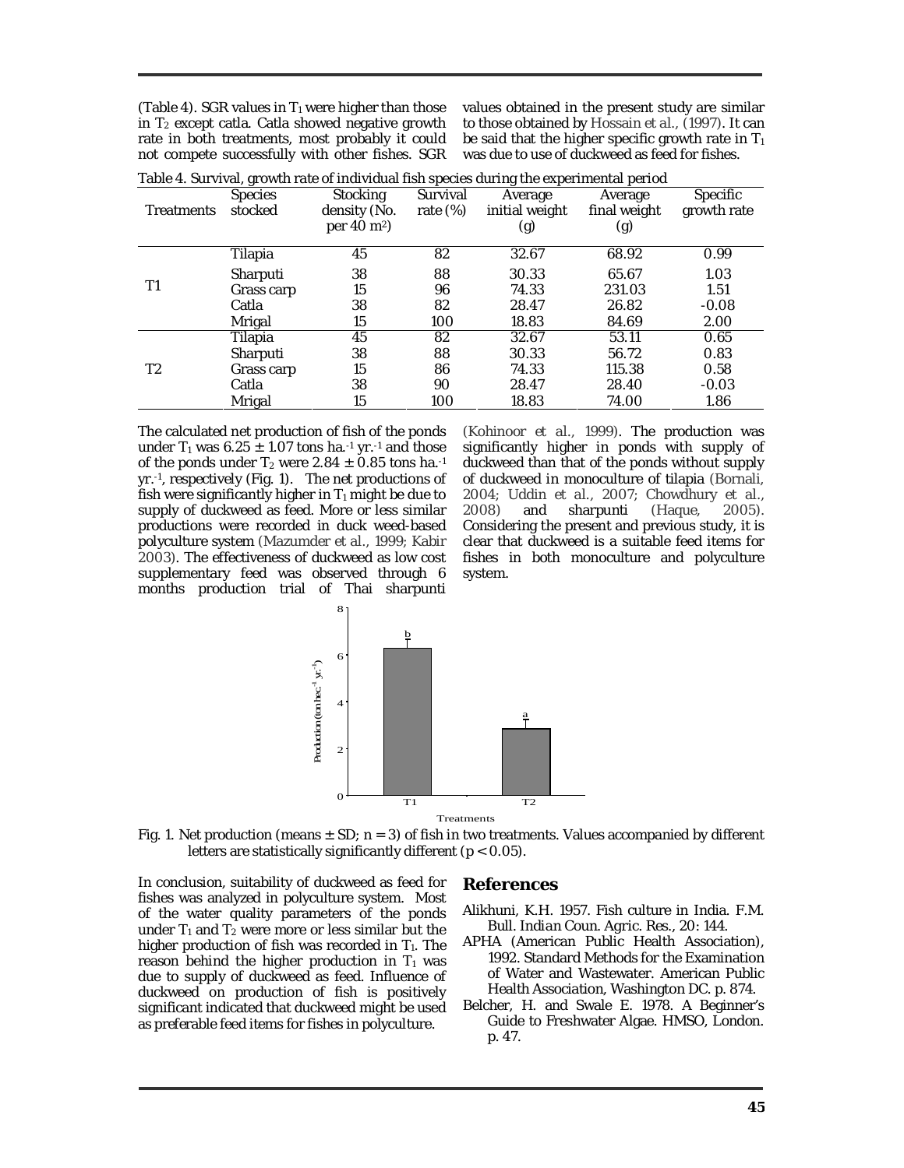(Table 4). SGR values in  $T_1$  were higher than those in  $T_2$  except catla. Catla showed negative growth rate in both treatments, most probably it could not compete successfully with other fishes. SGR values obtained in the present study are similar to those obtained by Hossain *et al.,* (1997). It can be said that the higher specific growth rate in  $T_1$ was due to use of duckweed as feed for fishes.

| <b>Treatments</b>                                                                                                                    | <b>Species</b><br>stocked | Stocking<br>density (No.<br>per $40 \text{ m}^2$ | Survival<br>rate $(\%)$ | Average<br>initial weight<br>(g)                                                                                          | Average<br>final weight<br>(g) | Specific<br>growth rate |
|--------------------------------------------------------------------------------------------------------------------------------------|---------------------------|--------------------------------------------------|-------------------------|---------------------------------------------------------------------------------------------------------------------------|--------------------------------|-------------------------|
|                                                                                                                                      | Tilapia                   | 45                                               | 82                      | 32.67                                                                                                                     | 68.92                          | 0.99                    |
| 38<br>88<br>30.33<br>Sharputi<br>T1<br>15<br>96<br>74.33<br>Grass carp<br>38<br>82<br>28.47<br>Catla<br>15<br>100<br>18.83<br>Mrigal | 65.67                     | 1.03                                             |                         |                                                                                                                           |                                |                         |
|                                                                                                                                      | 231.03                    | 1.51                                             |                         |                                                                                                                           |                                |                         |
|                                                                                                                                      |                           |                                                  | 26.82                   | $-0.08$                                                                                                                   |                                |                         |
|                                                                                                                                      |                           |                                                  |                         | 2.00<br>84.69<br>0.65<br>32.67<br>53.11<br>0.83<br>30.33<br>56.72<br>74.33<br>115.38<br>0.58<br>28.47<br>28.40<br>$-0.03$ |                                |                         |
|                                                                                                                                      | Tilapia                   | 45                                               | 82                      |                                                                                                                           |                                |                         |
|                                                                                                                                      | Sharputi                  | 38                                               | 88                      |                                                                                                                           |                                |                         |
| T <sub>2</sub>                                                                                                                       | Grass carp                | 15                                               | 86                      |                                                                                                                           |                                |                         |
|                                                                                                                                      | Catla                     | 38                                               | 90                      |                                                                                                                           |                                |                         |
|                                                                                                                                      | Mrigal                    | 15                                               | 100                     | 18.83                                                                                                                     | 74.00                          | 1.86                    |

|  |  |  |  | Table 4. Survival, growth rate of individual fish species during the experimental period |  |
|--|--|--|--|------------------------------------------------------------------------------------------|--|
|  |  |  |  |                                                                                          |  |
|  |  |  |  |                                                                                          |  |
|  |  |  |  |                                                                                          |  |

The calculated net production of fish of the ponds under  $T_1$  was 6.25  $\pm$  1.07 tons ha. 1 yr. 1 and those of the ponds under  $T_2$  were 2.84  $\pm$  0.85 tons ha.<sup>-1</sup> yr.-1 , respectively (Fig. 1). The net productions of fish were significantly higher in  $T_1$  might be due to supply of duckweed as feed. More or less similar productions were recorded in duck weed-based polyculture system (Mazumder *et al.,* 1999; Kabir 2003). The effectiveness of duckweed as low cost supplementary feed was observed through 6 months production trial of Thai sharpunti

(Kohinoor *et al.,* 1999). The production was significantly higher in ponds with supply of duckweed than that of the ponds without supply of duckweed in monoculture of tilapia (Bornali, 2004; Uddin *et al.,* 2007; Chowdhury *et al.,* 2008) and sharpunti (Haque, 2005). Considering the present and previous study, it is clear that duckweed is a suitable feed items for fishes in both monoculture and polyculture system.





In conclusion, suitability of duckweed as feed for fishes was analyzed in polyculture system. Most of the water quality parameters of the ponds under  $T_1$  and  $T_2$  were more or less similar but the higher production of fish was recorded in  $T_1$ . The reason behind the higher production in  $T_1$  was due to supply of duckweed as feed. Influence of duckweed on production of fish is positively significant indicated that duckweed might be used as preferable feed items for fishes in polyculture.

#### **References**

- Alikhuni, K.H. 1957. Fish culture in India. *F.M. Bull. Indian Coun. Agric. Res.,* 20: 144.
- APHA (American Public Health Association), 1992. Standard Methods for the Examination of Water and Wastewater. American Public Health Association, Washington DC. p. 874.
- Belcher, H. and Swale E. 1978. A Beginner's Guide to Freshwater Algae. HMSO, London. p. 47.